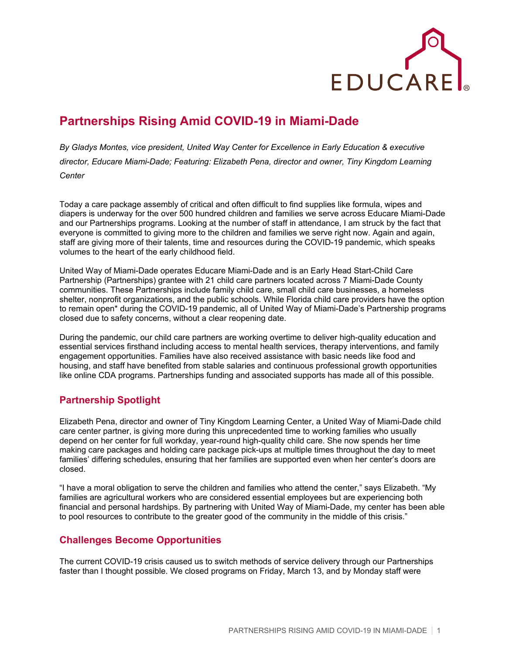

## **Partnerships Rising Amid COVID-19 in Miami-Dade**

*By Gladys Montes, vice president, United Way Center for Excellence in Early Education & executive director, Educare Miami-Dade; Featuring: Elizabeth Pena, director and owner, Tiny Kingdom Learning Center*

Today a care package assembly of critical and often difficult to find supplies like formula, wipes and diapers is underway for the over 500 hundred children and families we serve across Educare Miami-Dade and our Partnerships programs. Looking at the number of staff in attendance, I am struck by the fact that everyone is committed to giving more to the children and families we serve right now. Again and again, staff are giving more of their talents, time and resources during the COVID-19 pandemic, which speaks volumes to the heart of the early childhood field.

United Way of Miami-Dade operates Educare Miami-Dade and is an Early Head Start-Child Care Partnership (Partnerships) grantee with 21 child care partners located across 7 Miami-Dade County communities. These Partnerships include family child care, small child care businesses, a homeless shelter, nonprofit organizations, and the public schools. While Florida child care providers have the option to remain open\* during the COVID-19 pandemic, all of United Way of Miami-Dade's Partnership programs closed due to safety concerns, without a clear reopening date.

During the pandemic, our child care partners are working overtime to deliver high-quality education and essential services firsthand including access to mental health services, therapy interventions, and family engagement opportunities. Families have also received assistance with basic needs like food and housing, and staff have benefited from stable salaries and continuous professional growth opportunities like online CDA programs. Partnerships funding and associated supports has made all of this possible.

## **Partnership Spotlight**

Elizabeth Pena, director and owner of Tiny Kingdom Learning Center, a United Way of Miami-Dade child care center partner, is giving more during this unprecedented time to working families who usually depend on her center for full workday, year-round high-quality child care. She now spends her time making care packages and holding care package pick-ups at multiple times throughout the day to meet families' differing schedules, ensuring that her families are supported even when her center's doors are closed.

"I have a moral obligation to serve the children and families who attend the center," says Elizabeth. "My families are agricultural workers who are considered essential employees but are experiencing both financial and personal hardships. By partnering with United Way of Miami-Dade, my center has been able to pool resources to contribute to the greater good of the community in the middle of this crisis."

## **Challenges Become Opportunities**

The current COVID-19 crisis caused us to switch methods of service delivery through our Partnerships faster than I thought possible. We closed programs on Friday, March 13, and by Monday staff were